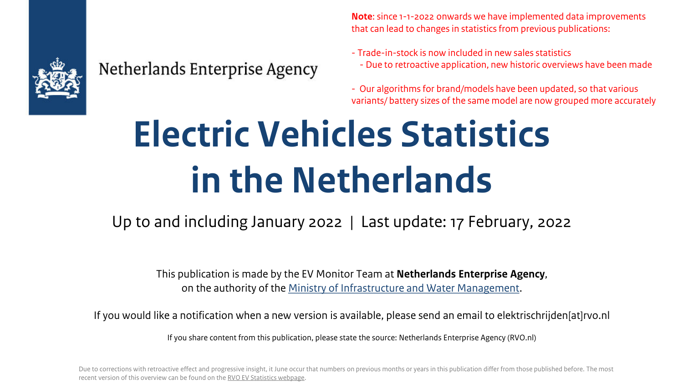

#### Netherlands Enterprise Agency

**Note**: since 1-1-2022 onwards we have implemented data improvements that can lead to changes in statistics from previous publications:

- Trade-in-stock is now included in new sales statistics - Due to retroactive application, new historic overviews have been made

- Our algorithms for brand/models have been updated, so that various variants/ battery sizes of the same model are now grouped more accurately

# **Electric Vehicles Statistics in the Netherlands**

Up to and including January 2022 | Last update: 17 February, 2022

This publication is made by the EV Monitor Team at **Netherlands Enterprise Agency**, on the authority of the [Ministry of Infrastructure and Water Management](https://www.government.nl/ministries/ministry-of-infrastructure-and-water-management).

If you would like a notification when a new version is available, please send an email to elektrischrijden[at]rvo.nl

If you share content from this publication, please state the source: Netherlands Enterprise Agency (RVO.nl)

Due to corrections with retroactive effect and progressive insight, it June occur that numbers on previous months or years in this publication differ from those published before. The most recent version of this overview can be found on the [RVO EV Statistics webpage](https://www.rvo.nl/onderwerpen/duurzaam-ondernemen/energie-en-milieu-innovaties/elektrisch-rijden/stand-van-zaken/cijfers).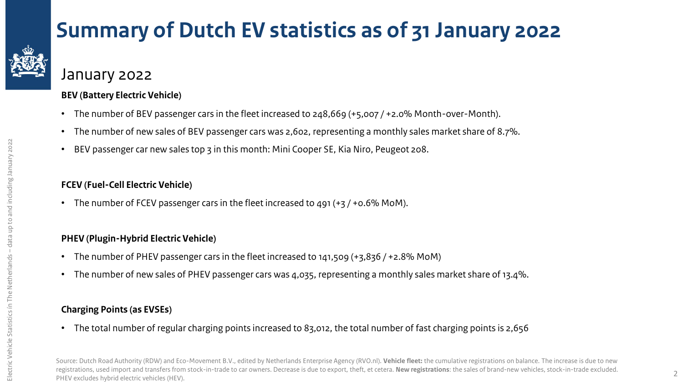

### **Summary of Dutch EV statistics as of 31 January 2022**

January 2022

#### **BEV (Battery Electric Vehicle)**

- The number of BEV passenger cars in the fleet increased to 248,669 (+5,007 / +2.0% Month-over-Month).
- The number of new sales of BEV passenger cars was 2,602, representing a monthly sales market share of 8.7%.
- BEV passenger car new sales top 3 in this month: Mini Cooper SE, Kia Niro, Peugeot 208.

#### **FCEV (Fuel-Cell Electric Vehicle)**

• The number of FCEV passenger cars in the fleet increased to 491  $(+3/10.6\% \text{ MOM})$ .

#### **PHEV (Plugin-Hybrid Electric Vehicle)**

- The number of PHEV passenger cars in the fleet increased to 141,509 (+3,836 / +2.8% MoM)
- The number of new sales of PHEV passenger cars was 4,035, representing a monthly sales market share of 13.4%.

#### **Charging Points (as EVSEs)**

• The total number of regular charging points increased to 83,012, the total number of fast charging points is 2,656

Source: Dutch Road Authority (RDW) and Eco-Movement B.V., edited by Netherlands Enterprise Agency (RVO.nl). **Vehicle fleet:** the cumulative registrations on balance. The increase is due to new registrations, used import and transfers from stock-in-trade to car owners. Decrease is due to export, theft, et cetera. **New registrations**: the sales of brand-new vehicles, stock-in-trade excluded. PHEV excludes hybrid electric vehicles (HEV).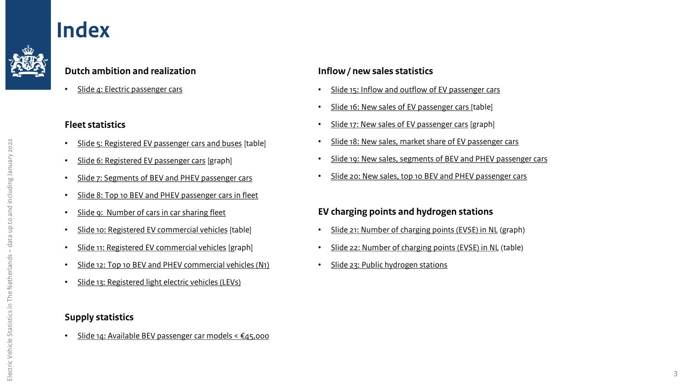#### <span id="page-2-0"></span>**Index**



• Slide 4: [Electric passenger cars](#page-3-0)

#### **Fleet statistics**

- [Slide 5: Registered EV passenger cars and buses](#page-4-0) [table]
- [Slide 6: Registered EV passenger cars](#page-5-0) [graph]
- [Slide 7: Segments of BEV and PHEV passenger cars](#page-6-0)
- [Slide 8: Top 10 BEV and PHEV passenger cars in fleet](#page-7-0)
- [Slide 9: Number of cars in car sharing fleet](#page-8-0)
- [Slide 10: Registered EV commercial vehicles](#page-9-0) [table]
- [Slide 11: Registered EV commercial vehicles](#page-10-0) [graph]
- [Slide 12: Top 10 BEV and PHEV commercial vehicles \(N1\)](#page-11-0)
- [Slide 13: Registered](#page-12-0) light electric vehicles (LEVs)

#### **Supply statistics**

• Slide 14: [Available BEV passenger car models < €45,000](#page-13-0) 

#### **Inflow / new sales statistics**

- [Slide 15: Inflow and outflow of EV passenger cars](#page-14-0)
- [Slide 16: New sales of EV passenger cars](#page-15-0) [table]
- [Slide 17: New sales of EV passenger cars](#page-16-0) [graph]
- [Slide 18: New sales, market share of EV passenger cars](#page-17-0)
- Slide 19: New sales, segments [of BEV and PHEV passenger cars](#page-18-0)
- [Slide 20: New sales, top 10 BEV and PHEV passenger cars](#page-19-0)

#### **EV charging points and hydrogen stations**

- [Slide 21: Number of charging points \(EVSE\) in NL](#page-20-0) (graph)
- [Slide 22: Number of charging points \(EVSE\) in NL](#page-21-0) (table)
- [Slide 23: Public hydrogen stations](#page-22-0)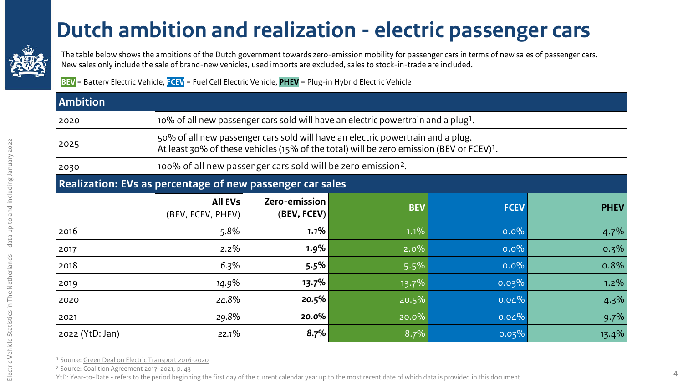#### **[D](#page-2-0)utch ambition and realization - electric passenger cars**

<span id="page-3-0"></span>

The table below shows the ambitions of the Dutch government towards zero-emission mobility for passenger cars in terms of new sales of passenger cars. New sales only include the sale of brand-new vehicles, used imports are excluded, sales to stock-in-trade are included.

**BEV** = Battery Electric Vehicle, **FCEV** = Fuel Cell Electric Vehicle, **PHEV** = Plug-in Hybrid Electric Vehicle

| <b>Ambition</b>                                           |                                                                                                                                                                                         |                              |                                                                                               |             |             |  |  |  |
|-----------------------------------------------------------|-----------------------------------------------------------------------------------------------------------------------------------------------------------------------------------------|------------------------------|-----------------------------------------------------------------------------------------------|-------------|-------------|--|--|--|
| 2020                                                      |                                                                                                                                                                                         |                              | 10% of all new passenger cars sold will have an electric powertrain and a plug <sup>1</sup> . |             |             |  |  |  |
| 2025                                                      | 50% of all new passenger cars sold will have an electric powertrain and a plug.<br>At least 30% of these vehicles (15% of the total) will be zero emission (BEV or FCEV) <sup>1</sup> . |                              |                                                                                               |             |             |  |  |  |
| 2030                                                      | 100% of all new passenger cars sold will be zero emission <sup>2</sup> .                                                                                                                |                              |                                                                                               |             |             |  |  |  |
| Realization: EVs as percentage of new passenger car sales |                                                                                                                                                                                         |                              |                                                                                               |             |             |  |  |  |
|                                                           | <b>All EVs</b><br>(BEV, FCEV, PHEV)                                                                                                                                                     | Zero-emission<br>(BEV, FCEV) | <b>BEV</b>                                                                                    | <b>FCEV</b> | <b>PHEV</b> |  |  |  |
| 2016                                                      | 5.8%                                                                                                                                                                                    | 1.1%                         | $1.1\%$                                                                                       | $0.0\%$     | 4.7%        |  |  |  |
| 2017                                                      | $2.2\%$                                                                                                                                                                                 | 1.9%                         | 2.0%                                                                                          | $0.0\%$     | $0.3\%$     |  |  |  |
| 2018                                                      | 6.3%                                                                                                                                                                                    | 5.5%                         | 5.5%                                                                                          | $0.0\%$     | 0.8%        |  |  |  |
| 2019                                                      | 14.9%                                                                                                                                                                                   | 13.7%                        | $13.7\%$                                                                                      | 0.03%       | $1.2\%$     |  |  |  |
| 2020                                                      | 24.8%                                                                                                                                                                                   | 20.5%                        | 20.5%                                                                                         | 0.04%       | 4.3%        |  |  |  |
| 2021                                                      | 29.8%                                                                                                                                                                                   | 20.0%                        | 20.0%                                                                                         | 0.04%       | 9.7%        |  |  |  |
| 2022 (YtD: Jan)                                           | 22.1%                                                                                                                                                                                   | 8.7%                         | 8.7%                                                                                          | 0.03%       | 13.4%       |  |  |  |

<sup>1</sup> Source: [Green Deal on Electric Transport 2016-2020](https://www.iea.org/policies/3009-green-deal-on-electric-transport-2016-2020-green-deal-198)

² Source: [Coalition Agreement 2017-2021,](https://www.kabinetsformatie2017.nl/binaries/kabinetsformatie/documenten/verslagen/2017/10/10/coalition-agreement-confidence-in-the-future/coalition-agreement-2017-confidence-in-the-future.pdf) p. 43

YtD: Year-to-Date - refers to the period beginning the first day of the current calendar year up to the most recent date of which data is provided in this document.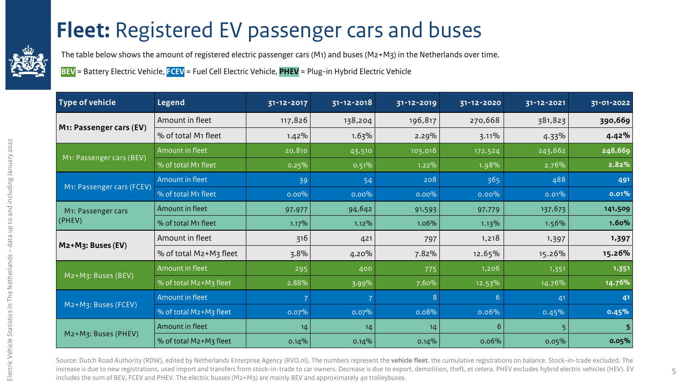### **[F](#page-2-0)leet:** Registered EV passenger cars and buses

<span id="page-4-0"></span>

The table below shows the amount of registered electric passenger cars (M1) and buses (M2+M3) in the Netherlands over time.

**BEV** = Battery Electric Vehicle, **FCEV** = Fuel Cell Electric Vehicle, **PHEV** = Plug-in Hybrid Electric Vehicle

| <b>Type of vehicle</b>    | <b>Legend</b>          | 31-12-2017 | 31-12-2018 | 31-12-2019 | 31-12-2020 | 31-12-2021 | 31-01-2022 |
|---------------------------|------------------------|------------|------------|------------|------------|------------|------------|
|                           | Amount in fleet        | 117,826    | 138,204    | 196,817    | 270,668    | 381,823    | 390,669    |
| M1: Passenger cars (EV)   | % of total M1 fleet    | 1.42%      | 1.63%      | 2.29%      | 3.11%      | 4.33%      | 4.42%      |
|                           | Amount in fleet        | 20,810     | 43,510     | 105,016    | 172,524    | 243,662    | 248,669    |
| M1: Passenger cars (BEV)  | % of total M1 fleet    | 0.25%      | 0.51%      | 1.22%      | 1.98%      | 2.76%      | 2.82%      |
|                           | <b>Amount in fleet</b> | 39         | 54         | 208        | 365        | 488        | 491        |
| M1: Passenger cars (FCEV) | % of total M1 fleet    | $0.00\%$   | $0.00\%$   | $0.00\%$   | $0.00\%$   | 0.01%      | 0.01%      |
| M1: Passenger cars        | Amount in fleet        | 97,977     | 94,642     | 91,593     | 97,779     | 137,673    | 141,509    |
| (PHEV)                    | % of total M1 fleet    | 1.17%      | 1.12%      | 1.06%      | 1.13%      | 1.56%      | 1.60%      |
|                           | Amount in fleet        | 316        | 421        | 797        | 1,218      | 1,397      | 1,397      |
| $Mz+Mz$ : Buses (EV)      | % of total M2+M3 fleet | 3.8%       | 4.20%      | 7.82%      | 12.65%     | 15.26%     | 15.26%     |
|                           | Amount in fleet        | 295        | 400        | 775        | 1,206      | 1,351      | 1,351      |
| M2+M3: Buses (BEV)        | % of total M2+M3 fleet | 2.88%      | 3.99%      | 7.60%      | 12.53%     | 14.76%     | 14.76%     |
|                           | Amount in fleet        |            |            | 8          | 6          | 41         | 41         |
| M2+M3: Buses (FCEV)       | % of total M2+M3 fleet | 0.07%      | 0.07%      | 0.08%      | 0.06%      | 0.45%      | 0.45%      |
|                           | Amount in fleet        | 14         | 14         | 14         | 6          |            | 5          |
| M2+M3: Buses (PHEV)       | % of total M2+M3 fleet | 0.14%      | 0.14%      | 0.14%      | 0.06%      | $0.05\%$   | 0.05%      |

Source: Dutch Road Authority (RDW), edited by Netherlands Enterprise Agency (RVO.nl). The numbers represent the **vehicle fleet**, the cumulative registrations on balance. Stock-in-trade excluded. The increase is due to new registrations, used import and transfers from stock-in-trade to car owners. Decrease is due to export, demolition, theft, et cetera. PHEV excludes hybrid electric vehicles (HEV). EV includes the sum of BEV, FCEV and PHEV. The electric busses (M2+M3) are mainly BEV and approximately 40 trolleybuses.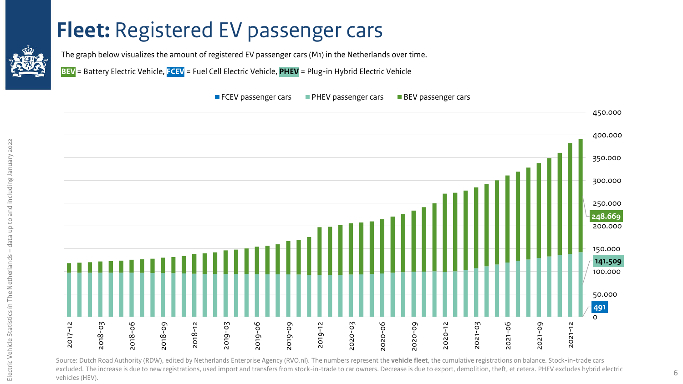#### <span id="page-5-0"></span>**[F](#page-2-0)leet: Registered EV passenger cars**

The graph below visualizes the amount of registered EV passenger cars (M1) in the Netherlands over time.

**BEV** = Battery Electric Vehicle, **FCEV** = Fuel Cell Electric Vehicle, **PHEV** = Plug-in Hybrid Electric Vehicle

#### $\blacksquare$  FCEV passenger cars  $\blacksquare$  PHEV passenger cars  $\blacksquare$  BEV passenger cars



Source: Dutch Road Authority (RDW), edited by Netherlands Enterprise Agency (RVO.nl). The numbers represent the **vehicle fleet**, the cumulative registrations on balance. Stock-in-trade cars excluded. The increase is due to new registrations, used import and transfers from stock-in-trade to car owners. Decrease is due to export, demolition, theft, et cetera. PHEV excludes hybrid electric 6  $\,$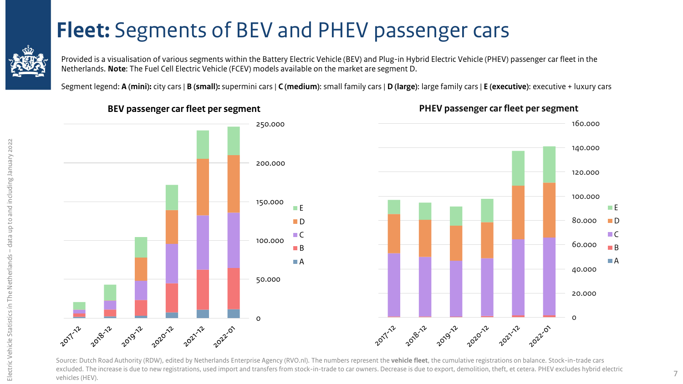### **[F](#page-2-0)leet:** Segments of BEV and PHEV passenger cars

<span id="page-6-0"></span>

Provided is a visualisation of various segments within the Battery Electric Vehicle (BEV) and Plug-in Hybrid Electric Vehicle (PHEV) passenger car fleet in the Netherlands. **Note**: The Fuel Cell Electric Vehicle (FCEV) models available on the market are segment D.

Segment legend: **A (mini):** city cars | **B (small):** supermini cars | **C (medium)**: small family cars | **D (large)**: large family cars | **E (executive)**: executive + luxury cars



**BEV passenger car fleet per segment**



**PHEV passenger car fleet per segment**

Source: Dutch Road Authority (RDW), edited by Netherlands Enterprise Agency (RVO.nl). The numbers represent the **vehicle fleet**, the cumulative registrations on balance. Stock-in-trade cars excluded. The increase is due to new registrations, used import and transfers from stock-in-trade to car owners. Decrease is due to export, demolition, theft, et cetera. PHEV excludes hybrid electric vehicles (HEV).

0

20.000

40.000

60.000

80.000

100.000

m E  $\blacksquare$  D  $\Box C$  $\Box$  B  $\Box A$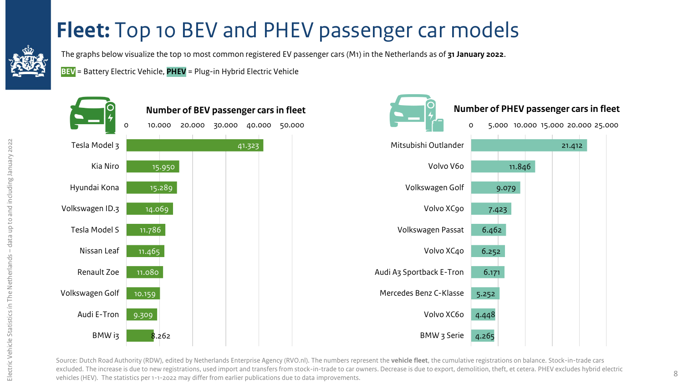### **[F](#page-2-0)leet:** Top 10 BEV and PHEV passenger car models

<span id="page-7-0"></span>

The graphs below visualize the top 10 most common registered EV passenger cars (M1) in the Netherlands as of **31 January 2022**.

**BEV** = Battery Electric Vehicle, **PHEV** = Plug-in Hybrid Electric Vehicle



Source: Dutch Road Authority (RDW), edited by Netherlands Enterprise Agency (RVO.nl). The numbers represent the **vehicle fleet**, the cumulative registrations on balance. Stock-in-trade cars excluded. The increase is due to new registrations, used import and transfers from stock-in-trade to car owners. Decrease is due to export, demolition, theft, et cetera. PHEV excludes hybrid electric vehicles (HEV). The statistics per 1-1-2022 may differ from earlier publications due to data improvements.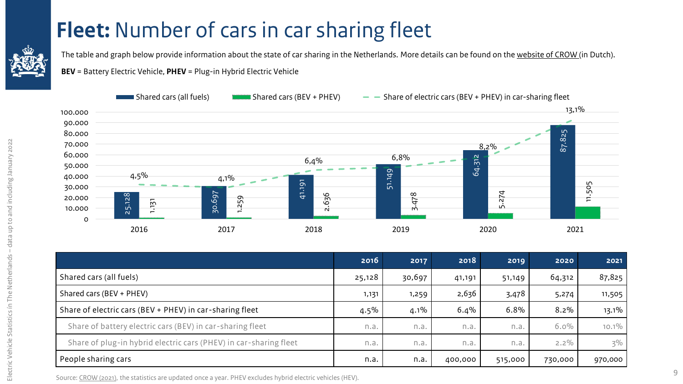#### **[F](#page-2-0)leet:** Number of cars in car sharing fleet

<span id="page-8-0"></span>

The table and graph below provide information about the state of car sharing in the Netherlands. More details can be found on the [website of CROW \(](https://www.crow.nl/dashboard-autodelen/home/monitor-1/elektrische-deelauto-resultaat)in Dutch).

**BEV** = Battery Electric Vehicle, **PHEV** = Plug-in Hybrid Electric Vehicle



| 30.000<br>20.000<br>10.000<br>O                                                                            | 25.128<br>$\overline{151}$<br>$\overline{ }$<br>2016 | <u>.,, .,</u><br>30.697<br>1.259<br>2017                  | 41.19<br>636<br>$\overline{\mathsf{N}}$<br>2018 |         | 5.<br>$\infty$<br>ŻP.<br>$\sim$<br>2019 |         | 74<br>$\overline{N}$<br>LO.<br>2020 | 2021    | 505<br>ᄃ |
|------------------------------------------------------------------------------------------------------------|------------------------------------------------------|-----------------------------------------------------------|-------------------------------------------------|---------|-----------------------------------------|---------|-------------------------------------|---------|----------|
|                                                                                                            |                                                      |                                                           |                                                 | 2016    | 2017                                    | 2018    | 2019                                | 2020    | 2021     |
| Shared cars (all fuels)                                                                                    |                                                      |                                                           | 25,128                                          | 30,697  | 41,191                                  | 51,149  | 64,312                              | 87,825  |          |
| Shared cars (BEV + PHEV)                                                                                   |                                                      |                                                           |                                                 | 1,131   | 1,259                                   | 2,636   | 3,478                               | 5,274   | 11,505   |
|                                                                                                            |                                                      | Share of electric cars (BEV + PHEV) in car-sharing fleet  |                                                 | $4.5\%$ | $4.1\%$                                 | 6.4%    | 6.8%                                | $8.2\%$ | 13.1%    |
|                                                                                                            |                                                      | Share of battery electric cars (BEV) in car-sharing fleet |                                                 | n.a.    | n.a.                                    | n.a.    | n.a.                                | $6.0\%$ | $10.1\%$ |
| Share of plug-in hybrid electric cars (PHEV) in car-sharing fleet                                          |                                                      |                                                           | n.a.                                            | n.a.    | n.a.                                    | n.a.    | $2.2\%$                             | $3\%$   |          |
| People sharing cars                                                                                        |                                                      |                                                           |                                                 | n.a.    | n.a.                                    | 400,000 | 515,000                             | 730,000 | 970,000  |
| Source: CROW (2021), the statistics are updated once a year. PHEV excludes hybrid electric vehicles (HEV). |                                                      |                                                           |                                                 |         |                                         |         |                                     |         |          |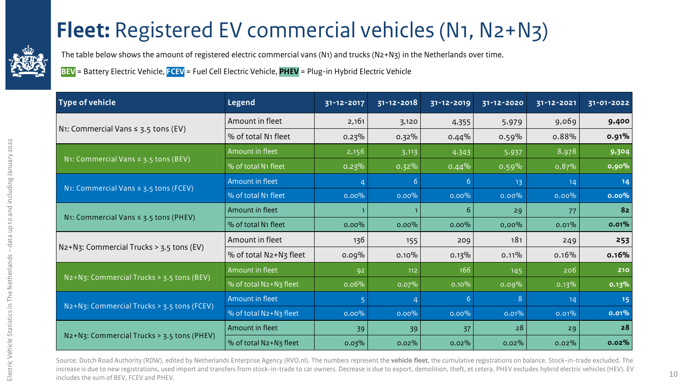### **[F](#page-2-0)leet:** Registered EV commercial vehicles (N1, N2+N3)

<span id="page-9-0"></span>

The table below shows the amount of registered electric commercial vans (N1) and trucks (N2+N3) in the Netherlands over time.

**BEV** = Battery Electric Vehicle, **FCEV** = Fuel Cell Electric Vehicle, **PHEV** = Plug-in Hybrid Electric Vehicle

| <b>Type of vehicle</b>                           | <b>Legend</b>          | 31-12-2017 | $31 - 12 - 2018$ | 31-12-2019 | 31-12-2020 | 31-12-2021 | 31-01-2022 |
|--------------------------------------------------|------------------------|------------|------------------|------------|------------|------------|------------|
|                                                  | Amount in fleet        | 2,161      | 3,120            | 4,355      | 5,979      | 9,069      | 9,400      |
| N1: Commercial Vans $\leq$ 3.5 tons (EV)         | % of total N1 fleet    | 0.23%      | $0.32\%$         | 0.44%      | 0.59%      | 0.88%      | 0.91%      |
|                                                  | Amount in fleet        | 2,156      | 3,113            | 4,343      | 5,937      | 8,978      | 9,304      |
| N1: Commercial Vans $\leq$ 3.5 tons (BEV)        | % of total N1 fleet    | 0.23%      | $0.32\%$         | 0.44%      | 0.59%      | 0,87%      | 0,90%      |
| N1: Commercial Vans $\leq$ 3.5 tons (FCEV)       | Amount in fleet        |            | 6                | -6         | 13         | 14         | $14$       |
|                                                  | % of total N1 fleet    | $0.00\%$   | $0.00\%$         | $0.00\%$   | $0.00\%$   | $0.00\%$   | 0.00%      |
|                                                  | Amount in fleet        |            |                  | 6          | 29         | 77         | 82         |
| N1: Commercial Vans $\leq$ 3.5 tons (PHEV)       | % of total N1 fleet    | $0.00\%$   | $0.00\%$         | $0.00\%$   | $0,00\%$   | 0.01%      | 0.01%      |
| $N_2+N_3$ : Commercial Trucks > 3.5 tons (EV)    | Amount in fleet        | 136        | 155              | 209        | 181        | 249        | 253        |
|                                                  | % of total N2+N3 fleet | 0.09%      | $0.10\%$         | 0.13%      | $0.11\%$   | $0.16\%$   | 0.16%      |
| $N_2 + N_3$ : Commercial Trucks > 3.5 tons (BEV) | Amount in fleet        | 92         | 112              | 166        | 145        | 206        | 210        |
|                                                  | % of total N2+N3 fleet | 0.06%      | 0.07%            | 0.10%      | 0.09%      | 0.13%      | 0.13%      |
| N2+N3: Commercial Trucks > 3.5 tons (FCEV)       | Amount in fleet        |            |                  | 6          | 8          | 14         | 15         |
|                                                  | % of total N2+N3 fleet | $0.00\%$   | $0.00\%$         | $0.00\%$   | 0.01%      | 0.01%      | 0.01%      |
| N2+N3: Commercial Trucks > 3.5 tons (PHEV)       | Amount in fleet        | 39         | 39               | 37         | 28         | 29         | 28         |
|                                                  | % of total N2+N3 fleet | 0.03%      | $0.02\%$         | $0.02\%$   | $0.02\%$   | $0.02\%$   | 0.02%      |

Source: Dutch Road Authority (RDW), edited by Netherlands Enterprise Agency (RVO.nl). The numbers represent the **vehicle fleet**, the cumulative registrations on balance. Stock-in-trade excluded. The increase is due to new registrations, used import and transfers from stock-in-trade to car owners. Decrease is due to export, demolition, theft, et cetera. PHEV excludes hybrid electric vehicles (HEV). EV includes the sum of BEV, FCEV and PHEV.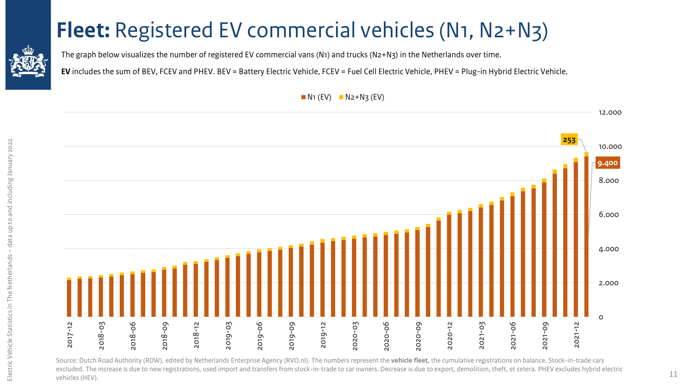### **[F](#page-2-0)leet:** Registered EV commercial vehicles (N1, N2+N3)

<span id="page-10-0"></span>

The graph below visualizes the number of registered EV commercial vans (N1) and trucks (N2+N3) in the Netherlands over time.

**EV** includes the sum of BEV, FCEV and PHEV. BEV = Battery Electric Vehicle, FCEV = Fuel Cell Electric Vehicle, PHEV = Plug-in Hybrid Electric Vehicle.



Source: Dutch Road Authority (RDW), edited by Netherlands Enterprise Agency (RVO.nl). The numbers represent the **vehicle fleet**, the cumulative registrations on balance. Stock-in-trade cars excluded. The increase is due to new registrations, used import and transfers from stock-in-trade to car owners. Decrease is due to export, demolition, theft, et cetera. PHEV excludes hybrid electric vehicles (HEV).

 $N_1$  (EV)  $N_2+N_3$  (EV)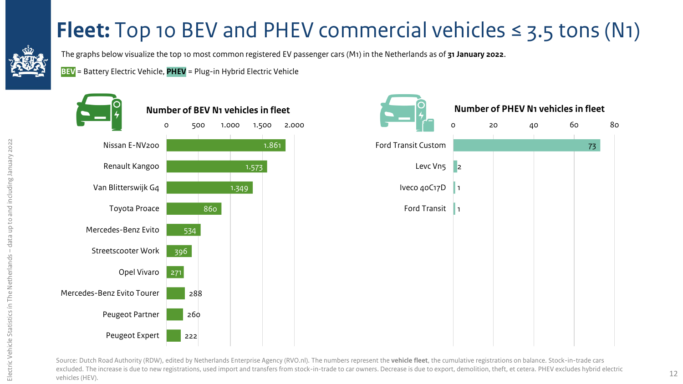## **[F](#page-2-0)leet:** Top 10 BEV and PHEV commercial vehicles  $\leq$  3.5 tons (N1)

<span id="page-11-0"></span>

The graphs below visualize the top 10 most common registered EV passenger cars (M1) in the Netherlands as of **31 January 2022**.

**BEV** = Battery Electric Vehicle, **PHEV** = Plug-in Hybrid Electric Vehicle



Source: Dutch Road Authority (RDW), edited by Netherlands Enterprise Agency (RVO.nl). The numbers represent the **vehicle fleet**, the cumulative registrations on balance. Stock-in-trade cars excluded. The increase is due to new registrations, used import and transfers from stock-in-trade to car owners. Decrease is due to export, demolition, theft, et cetera. PHEV excludes hybrid electric vehicles (HEV).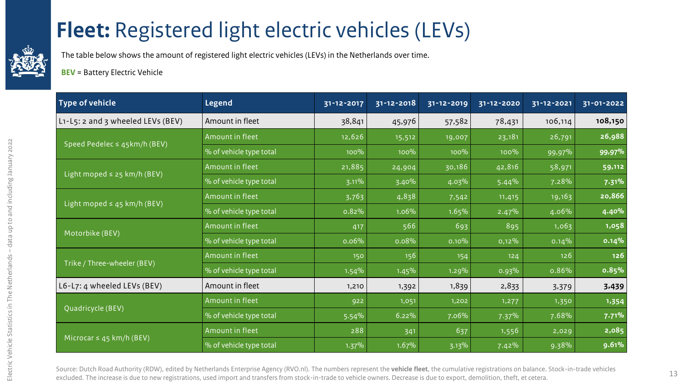### <span id="page-12-0"></span>**[F](#page-2-0)leet:** Registered light electric vehicles (LEVs)

The table below shows the amount of registered light electric vehicles (LEVs) in the Netherlands over time.

**BEV** = Battery Electric Vehicle

| <b>Type of vehicle</b>            | <b>Legend</b>           | 31-12-2017 | 31-12-2018 | 31-12-2019 | 31-12-2020 | 31-12-2021 | 31-01-2022 |
|-----------------------------------|-------------------------|------------|------------|------------|------------|------------|------------|
| L1-L5: 2 and 3 wheeled LEVs (BEV) | Amount in fleet         | 38,841     | 45,976     | 57,582     | 78,431     | 106,114    | 108,150    |
| Speed Pedelec $\leq$ 45km/h (BEV) | Amount in fleet         | 12,626     | 15,512     | 19,007     | 23,181     | 26,791     | 26,988     |
|                                   | % of vehicle type total | 100%       | 100%       | 100%       | 100%       | 99,97%     | 99,97%     |
| Light moped $\leq$ 25 km/h (BEV)  | Amount in fleet         | 21,885     | 24,904     | 30,186     | 42,816     | 58,971     | 59,112     |
|                                   | % of vehicle type total | 3.11%      | 3.40%      | 4.03%      | 5.44%      | 7.28%      | 7.31%      |
| Light moped $\leq$ 45 km/h (BEV)  | Amount in fleet         | 3,763      | 4,838      | 7,542      | 11,415     | 19,163     | 20,866     |
|                                   | % of vehicle type total | 0.82%      | 1.06%      | 1.65%      | 2.47%      | 4.06%      | 4.40%      |
|                                   | Amount in fleet         | 417        | 566        | 693        | 895        | 1,063      | 1,058      |
| Motorbike (BEV)                   | % of vehicle type total | 0.06%      | 0.08%      | $0.10\%$   | $0,12\%$   | 0.14%      | 0.14%      |
| Trike / Three-wheeler (BEV)       | Amount in fleet         | 150        | 156        | 154        | 124        | 126        | 126        |
|                                   | % of vehicle type total | 1.54%      | 1.45%      | 1.29%      | 0.93%      | 0.86%      | 0.85%      |
| L6-L7: 4 wheeled LEVs (BEV)       | Amount in fleet         | 1,210      | 1,392      | 1,839      | 2,833      | 3,379      | 3,439      |
|                                   | Amount in fleet         | 922        | 1,051      | 1,202      | 1,277      | 1,350      | 1,354      |
| Quadricycle (BEV)                 | % of vehicle type total | 5.54%      | 6.22%      | 7.06%      | 7.37%      | 7.68%      | 7.71%      |
|                                   | Amount in fleet         | 288        | 341        | 637        | 1,556      | 2,029      | 2,085      |
| Microcar $\leq$ 45 km/h (BEV)     | % of vehicle type total | 1.37%      | 1.67%      | 3.13%      | 7.42%      | 9.38%      | 9.61%      |

Source: Dutch Road Authority (RDW), edited by Netherlands Enterprise Agency (RVO.nl). The numbers represent the **vehicle fleet**, the cumulative registrations on balance. Stock-in-trade vehicles excluded. The increase is due to new registrations, used import and transfers from stock-in-trade to vehicle owners. Decrease is due to export, demolition, theft, et cetera. 13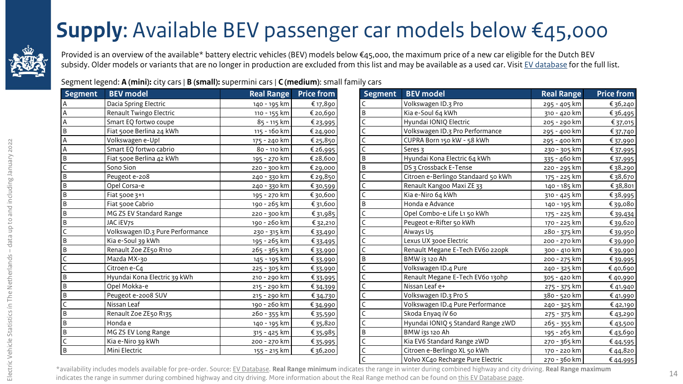### **[S](#page-2-0)upply**: Available BEV passenger car models below €45,000

<span id="page-13-0"></span>![](_page_13_Picture_1.jpeg)

Provided is an overview of the available\* battery electric vehicles (BEV) models below €45,000, the maximum price of a new car eligible for the Dutch BEV subsidy. Older models or variants that are no longer in production are excluded from this list and may be available as a used car. Visit [EV database](https://ev-database.org/) for the full list.

Segment legend: **A (mini):** city cars | **B (small):** supermini cars | **C (medium)**: small family cars

| <b>Segment</b> | <b>BEV</b> model                 | <b>Real Range</b> | <b>Price from</b> | <b>Segment</b> | <b>BEV</b> model                    | <b>Real Range</b> | <b>Price from</b> |
|----------------|----------------------------------|-------------------|-------------------|----------------|-------------------------------------|-------------------|-------------------|
|                | Dacia Spring Electric            | 140 - 195 km      | € 17,890          |                | Volkswagen ID.3 Pro                 | 295 - 405 km      | € 36,240          |
|                | Renault Twingo Electric          | 110 - 155 km      | € 20,690<br>B     |                | Kia e-Soul 64 kWh                   | 310 - 420 km      | € 36,495          |
|                | Smart EQ fortwo coupe            | 85 - 115 km       | € 23,995          |                | Hyundai IONIQ Electric              | 205 - 290 km      | € 37,015          |
| B              | Fiat 500e Berlina 24 kWh         | 115 - 160 km      | €24,900           |                | Volkswagen ID.3 Pro Performance     | 295 - 400 km      | €37,740           |
|                | Volkswagen e-Up!                 | 175 - 240 km      | € 25,850          |                | CUPRA Born 150 kW - 58 kWh          | 295 - 400 km      | € 37,990          |
|                | Smart EQ fortwo cabrio           | 80 - 110 km       | €26,995           |                | Seres 3                             | 230 - 305 km      | €37,995           |
| B              | Fiat 500e Berlina 42 kWh         | 195 - 270 km      | € 28,600<br>B     |                | Hyundai Kona Electric 64 kWh        | 335 - 460 km      | €37,995           |
|                | Sono Sion                        | 220 - 300 km      | € 29,000<br>B     |                | DS 3 Crossback E-Tense              | 220 - 295 km      | €38,290           |
| B              | Peugeot e-208                    | 240 - 330 km      | €29,850           |                | Citroen e-Berlingo Standaard 50 kWh | 175 - 225 km      | €38,670           |
| B              | Opel Corsa-e                     | 240 - 330 km      | €30,599           |                | Renault Kangoo Maxi ZE 33           | 140 - 185 km      | €38,801           |
| B              | Fiat 500e 3+1                    | 195 - 270 km      | €30,600           |                | Kia e-Niro 64 kWh                   | 310 - 425 km      | €38,995           |
| B              | Fiat 500e Cabrio                 | 190 - 265 km      | € 31,600<br>B     |                | Honda e Advance                     | 140 - 195 km      | €39,080           |
| B              | MG ZS EV Standard Range          | 220 - 300 km      | € 31,985          |                | Opel Combo-e Life L1 50 kWh         | 175 - 225 km      | € 39,434          |
| B              | JAC iEV7S                        | 190 - 260 km      | € 32,210          |                | Peugeot e-Rifter 50 kWh             | 170 - 225 km      | € 39,620          |
|                | Volkswagen ID.3 Pure Performance | 230 - 315 km      | € 33,490          |                | Aiways U5                           | 280 - 375 km      | € 39,950          |
| B              | Kia e-Soul 39 kWh                | 195 - 265 km      | € 33,495          |                | Lexus UX 300e Electric              | 200 - 270 km      | € 39,990          |
| B              | Renault Zoe ZE50 R110            | 265 - 365 km      | € 33,990          |                | Renault Megane E-Tech EV60 220pk    | 300 - 410 km      | € 39,990          |
|                | Mazda MX-30                      | 145 - 195 km      | B<br>€ 33,990     |                | BMW i3 120 Ah                       | 200 - 275 km      | € 39,995          |
|                | Citroen e-Ca                     | 225 - 305 km      | € 33,990          |                | Volkswagen ID.4 Pure                | 240 - 325 km      | € 40,690          |
| B              | Hyundai Kona Electric 39 kWh     | 210 - 290 km      | €33,995           |                | Renault Megane E-Tech EV60 130hp    | 305 - 420 km      | € 40,990          |
| B              | Opel Mokka-e                     | 215 - 290 km      | € 34,399          |                | Nissan Leaf e+                      | 275 - 375 km      | € 41,940          |
| B              | Peugeot e-2008 SUV               | 215 - 290 km      | € 34,730          |                | Volkswagen ID.3 Pro S               | 380 - 520 km      | € 41,990          |
|                | Nissan Leaf                      | 190 - 260 km      | € 34,990          |                | Volkswagen ID.4 Pure Performance    | 240 - 325 km      | € 42,190          |
| B              | Renault Zoe ZE50 R135            | 260 - 355 km      | € 35,590          |                | Skoda Enyaq iV 60                   | 275 - 375 km      | € 43,290          |
| B              | Honda e                          | 140 - 195 km      | € 35,820          |                | Hyundai IONIQ 5 Standard Range 2WD  | 265 - 355 km      | € 43,500          |
| B              | MG ZS EV Long Range              | 315 - 425 km      | B<br>€35,985      |                | BMW i3s 120 Ah                      | 195 - 265 km      | € 43,690          |
|                | Kia e-Niro 39 kWh                | 200 - 270 km      | €35,995           |                | Kia EV6 Standard Range 2WD          | 270 - 365 km      | €44,595           |
| B              | Mini Electric                    | 155 - 215 km      | €36,200           |                | Citroen e-Berlingo XL 50 kWh        | 170 - 220 km      | €44,820           |
|                |                                  |                   |                   |                | Volvo XC40 Recharge Pure Electric   | 270 - 360 km      | €44,995           |

\*availability includes models available for pre-order. Source: [EV Database](https://ev-database.nl/). **Real Range minimum** indicates the range in winter during combined highway and city driving. **Real Range maximum** indicates the range in summer during combined highway and city driving. More information about the Real Range method can be found on [this EV Database page](https://ev-database.nl/informatie/stroomverbruik-hybride-elektrische-auto#Rekenmethode).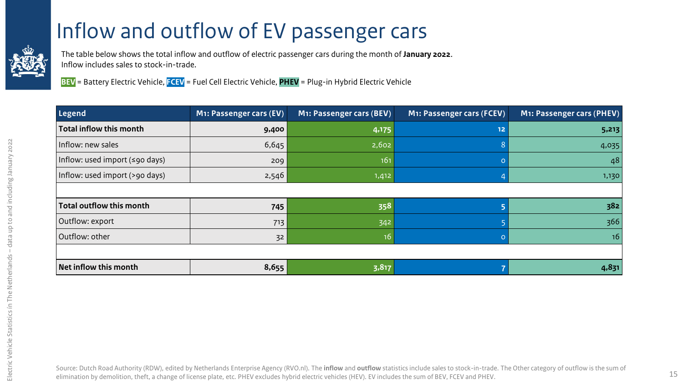#### [I](#page-2-0)nflow and outflow of EV passenger cars

<span id="page-14-0"></span>![](_page_14_Picture_1.jpeg)

The table below shows the total inflow and outflow of electric passenger cars during the month of **January 2022**. Inflow includes sales to stock-in-trade.

**BEV** = Battery Electric Vehicle, **FCEV** = Fuel Cell Electric Vehicle, **PHEV** = Plug-in Hybrid Electric Vehicle

| Legend                                       | M1: Passenger cars (EV) | M1: Passenger cars (BEV) | M1: Passenger cars (FCEV) | M1: Passenger cars (PHEV) |
|----------------------------------------------|-------------------------|--------------------------|---------------------------|---------------------------|
| Total inflow this month                      | 9,400                   | 4,175                    | 12                        | 5,213                     |
| Inflow: new sales                            | 6,645                   | 2,602                    |                           | 4,035                     |
| Inflow: used import $(\leq 90 \text{ days})$ | 209                     | 161                      |                           | 48                        |
| Inflow: used import (>90 days)               | 2,546                   | 1,412                    |                           | 1,130                     |
|                                              |                         |                          |                           |                           |
| Total outflow this month                     | 745                     | 358                      |                           | 382                       |
| Outflow: export                              | 713                     | 342                      |                           | 366                       |
| Outflow: other                               | 32                      | 16 <sup>°</sup>          |                           | 16                        |
|                                              |                         |                          |                           |                           |
| Net inflow this month                        | 8,655                   | 3,817                    |                           | 4,831                     |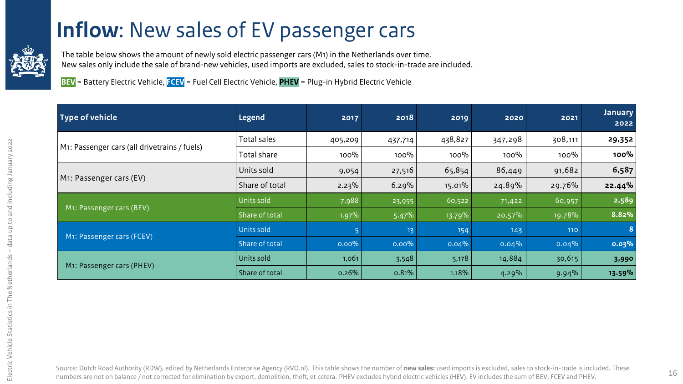#### **[I](#page-2-0)nflow**: New sales of EV passenger cars

<span id="page-15-0"></span>![](_page_15_Picture_1.jpeg)

The table below shows the amount of newly sold electric passenger cars (M1) in the Netherlands over time. New sales only include the sale of brand-new vehicles, used imports are excluded, sales to stock-in-trade are included.

**BEV** = Battery Electric Vehicle, **FCEV** = Fuel Cell Electric Vehicle, **PHEV** = Plug-in Hybrid Electric Vehicle

| Type of vehicle                              | <b>Legend</b>  | 2017     | 2018     | 2019    | 2020     | 2021    | <b>January</b><br>2022 |
|----------------------------------------------|----------------|----------|----------|---------|----------|---------|------------------------|
|                                              | Total sales    | 405,209  | 437,714  | 438,827 | 347,298  | 308,111 | 29,352                 |
| M1: Passenger cars (all drivetrains / fuels) | Total share    | 100%     | $100\%$  | $100\%$ | $100\%$  | $100\%$ | 100%                   |
| M1: Passenger cars (EV)                      | Units sold     | 9,054    | 27,516   | 65,854  | 86,449   | 91,682  | 6,587                  |
|                                              | Share of total | $2.23\%$ | 6.29%    | 15.01%  | 24.89%   | 29.76%  | 22.44%                 |
|                                              | Units sold     | 7,988    | 23,955   | 60,522  | 71,422   | 60,957  | 2,589                  |
| M1: Passenger cars (BEV)                     | Share of total | 1.97%    | 5.47%    | 13.79%  | 20,57%   | 19.78%  | 8.82%                  |
|                                              | Units sold     |          | 13       | 154     | 143      | 110     | 8                      |
| M1: Passenger cars (FCEV)                    | Share of total | $0.00\%$ | $0.00\%$ | 0.04%   | $0.04\%$ | 0.04%   | 0.03%                  |
|                                              | Units sold     | 1,061    | 3,548    | 5,178   | 14,884   | 30,615  | 3,990                  |
| M <sub>1</sub> : Passenger cars (PHEV)       | Share of total | 0.26%    | 0.81%    | 1.18%   | 4.29%    | 9.94%   | 13.59%                 |

Source: Dutch Road Authority (RDW), edited by Netherlands Enterprise Agency (RVO.nl). This table shows the number of **new sales:** used imports is excluded, sales to stock-in-trade is included. These numbers are not on balance / not corrected for elimination by export, demolition, theft, et cetera. PHEV excludes hybrid electric vehicles (HEV). EV includes the sum of BEV, FCEV and PHEV. 16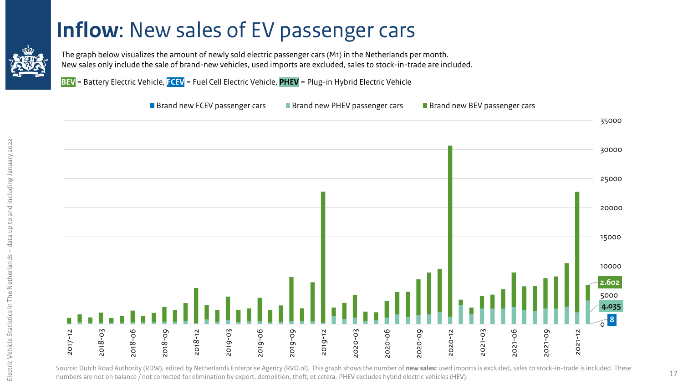#### **[I](#page-2-0)nflow**: New sales of EV passenger cars

<span id="page-16-0"></span>![](_page_16_Picture_1.jpeg)

The graph below visualizes the amount of newly sold electric passenger cars (M1) in the Netherlands per month. New sales only include the sale of brand-new vehicles, used imports are excluded, sales to stock-in-trade are included.

**BEV** = Battery Electric Vehicle, **FCEV** = Fuel Cell Electric Vehicle, **PHEV** = Plug-in Hybrid Electric Vehicle

![](_page_16_Figure_4.jpeg)

Source: Dutch Road Authority (RDW), edited by Netherlands Enterprise Agency (RVO.nl). This graph shows the number of **new sales:** used imports is excluded, sales to stock-in-trade is included. These numbers are not on balance / not corrected for elimination by export, demolition, theft, et cetera. PHEV excludes hybrid electric vehicles (HEV).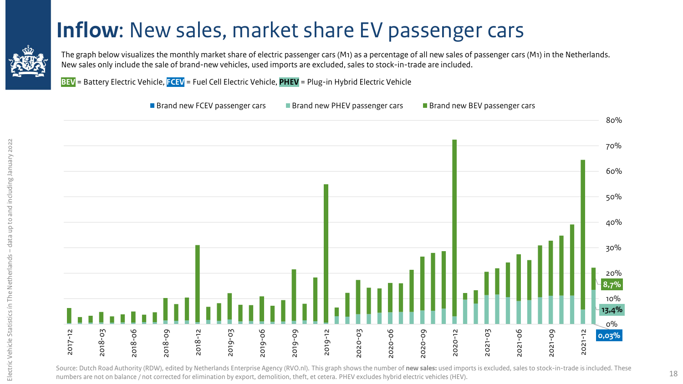#### **[I](#page-2-0)nflow**: New sales, market share EV passenger cars

<span id="page-17-0"></span>![](_page_17_Picture_1.jpeg)

The graph below visualizes the monthly market share of electric passenger cars (M1) as a percentage of all new sales of passenger cars (M1) in the Netherlands. New sales only include the sale of brand-new vehicles, used imports are excluded, sales to stock-in-trade are included.

**BEV** = Battery Electric Vehicle, **FCEV** = Fuel Cell Electric Vehicle, **PHEV** = Plug-in Hybrid Electric Vehicle

![](_page_17_Figure_4.jpeg)

Source: Dutch Road Authority (RDW), edited by Netherlands Enterprise Agency (RVO.nl). This graph shows the number of **new sales:** used imports is excluded, sales to stock-in-trade is included. These numbers are not on balance / not corrected for elimination by export, demolition, theft, et cetera. PHEV excludes hybrid electric vehicles (HEV).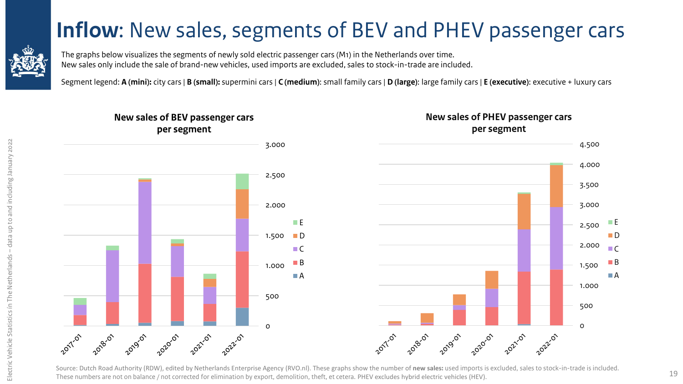#### <span id="page-18-0"></span>**[I](#page-2-0)nflow**: New sales, segments of BEV and PHEV passenger cars

![](_page_18_Picture_1.jpeg)

Segment legend: **A (mini):** city cars | **B (small):** supermini cars | **C (medium)**: small family cars | **D (large)**: large family cars | **E (executive)**: executive + luxury cars

![](_page_18_Figure_3.jpeg)

Source: Dutch Road Authority (RDW), edited by Netherlands Enterprise Agency (RVO.nl). These graphs show the number of **new sales:** used imports is excluded, sales to stock-in-trade is included. These numbers are not on balance / not corrected for elimination by export, demolition, theft, et cetera. PHEV excludes hybrid electric vehicles (HEV).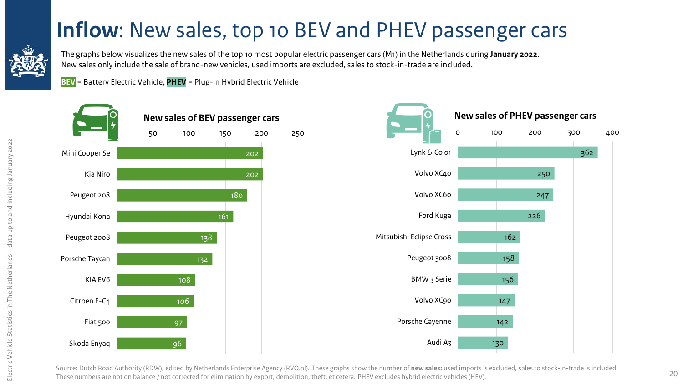#### **[I](#page-2-0)nflow**: New sales, top 10 BEV and PHEV passenger cars

<span id="page-19-0"></span>![](_page_19_Picture_1.jpeg)

The graphs below visualizes the new sales of the top 10 most popular electric passenger cars (M1) in the Netherlands during **January 2022**. New sales only include the sale of brand-new vehicles, used imports are excluded, sales to stock-in-trade are included.

**BEV** = Battery Electric Vehicle, **PHEV** = Plug-in Hybrid Electric Vehicle

![](_page_19_Figure_4.jpeg)

![](_page_19_Figure_5.jpeg)

Source: Dutch Road Authority (RDW), edited by Netherlands Enterprise Agency (RVO.nl). These graphs show the number of **new sales:** used imports is excluded, sales to stock-in-trade is included. These numbers are not on balance / not corrected for elimination by export, demolition, theft, et cetera. PHEV excludes hybrid electric vehicles (HEV).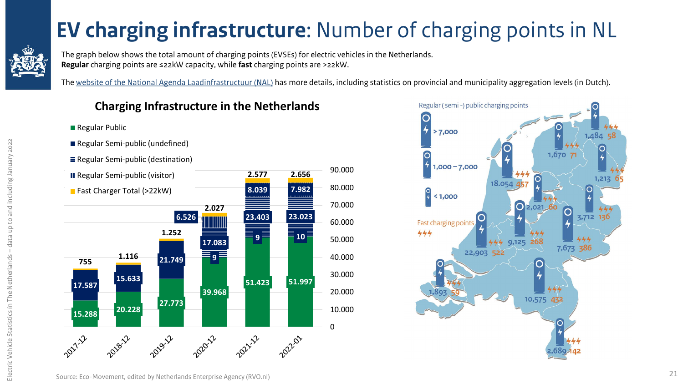## **[E](#page-2-0)V charging infrastructure**: Number of charging points in NL

<span id="page-20-0"></span>![](_page_20_Picture_1.jpeg)

**Regular Public** 

The graph below shows the total amount of charging points (EVSEs) for electric vehicles in the Netherlands. **Regular** charging points are ≤22kW capacity, while **fast** charging points are >22kW.

The [website of the National Agenda Laadinfrastructuur](https://agendalaadinfrastructuur.nl/monitoring/default.aspx) (NAL) has more details, including statistics on provincial and municipality aggregation levels (in Dutch).

#### **Charging Infrastructure in the Netherlands**

![](_page_20_Figure_5.jpeg)

![](_page_20_Figure_6.jpeg)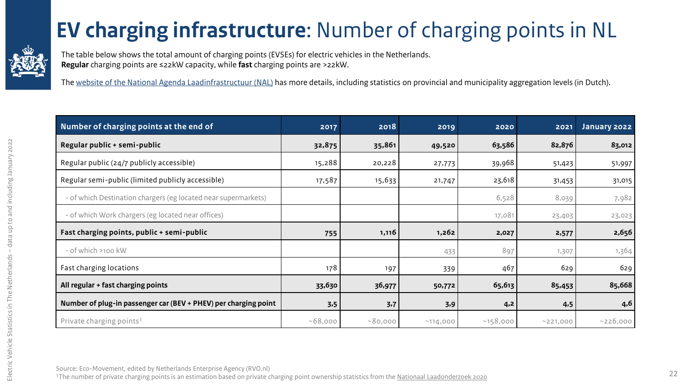## **[E](#page-2-0)V charging infrastructure**: Number of charging points in NL

<span id="page-21-0"></span>![](_page_21_Picture_1.jpeg)

The table below shows the total amount of charging points (EVSEs) for electric vehicles in the Netherlands. **Regular** charging points are ≤22kW capacity, while **fast** charging points are >22kW.

The [website of the National Agenda Laadinfrastructuur](https://agendalaadinfrastructuur.nl/monitoring/default.aspx) (NAL) has more details, including statistics on provincial and municipality aggregation levels (in Dutch).

| Number of charging points at the end of                         | 2017    | 2018    | 2019     | 2020     | 2021     | January 2022 |
|-----------------------------------------------------------------|---------|---------|----------|----------|----------|--------------|
| Regular public + semi-public                                    | 32,875  | 35,861  | 49,520   | 63,586   | 82,876   | 83,012       |
| Regular public (24/7 publicly accessible)                       | 15,288  | 20,228  | 27,773   | 39,968   | 51,423   | 51,997       |
| Regular semi-public (limited publicly accessible)               | 17,587  | 15,633  | 21,747   | 23,618   | 31,453   | 31,015       |
| - of which Destination chargers (eg located near supermarkets)  |         |         |          | 6,528    | 8,039    | 7,982        |
| - of which Work chargers (eg located near offices)              |         |         |          | 17,081   | 23,403   | 23,023       |
| Fast charging points, public + semi-public                      | 755     | 1,116   | 1,262    | 2,027    | 2,577    | 2,656        |
| - of which >100 kW                                              |         |         | 433      | 897      | 1,307    | 1,364        |
| Fast charging locations                                         | 178     | 197     | 339      | 467      | 629      | 629          |
| All regular + fast charging points                              | 33,630  | 36,977  | 50,772   | 65,613   | 85,453   | 85,668       |
| Number of plug-in passenger car (BEV + PHEV) per charging point | 3,5     | 3,7     | 3,9      | 4,2      | 4,5      | 4,6          |
| Private charging points <sup>1</sup>                            | ~58,000 | ~80,000 | ~114,000 | ~158,000 | ~221,000 | ~226,000     |

Source: Eco-Movement, edited by Netherlands Enterprise Agency (RVO.nl)

<sup>1</sup>The number of private charging points is an estimation based on private charging point ownership statistics from the [Nationaal Laadonderzoek](https://www.elaad.nl/uploads/files/Rapport_Nationaal_Laadonderzoek_2020.pdf) 2020